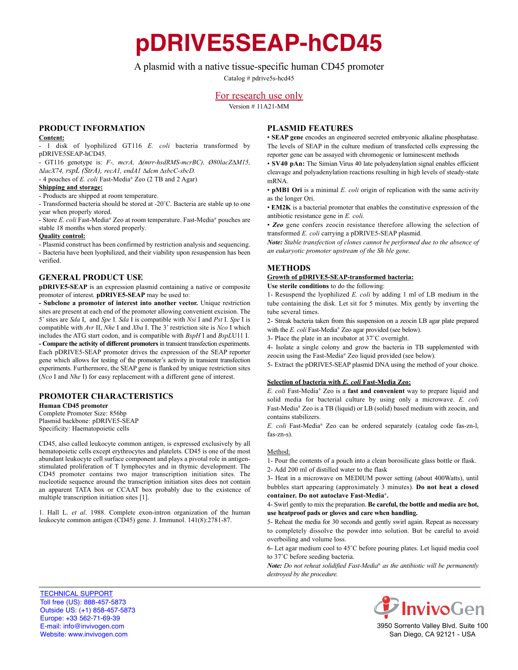**pDRIVE5SEAP-hCD45**

# A plasmid with a native tissue-specific human CD45 promoter

Catalog # pdrive5s-hcd45

# For research use only

Version # 11A21-MM

## **PrOduct infOrmatiOn**

#### **content:**

- 1 disk of lyophilized GT116 *E. coli* bacteria transformed by pDRIVE5SEAP-hCD45.

- GT116 genotype is: *F-, mcrA,* D*(mrr-hsdRMS-mcrBC), Ø80lacZ∆M15, ∆lacX74, rspL (StrA), recA1, endA1 ∆dcm ∆sbcC-sbcD.*

- 4 pouches of *E. coli* Fast-Media® Zeo (2 TB and 2 Agar)

#### **shipping and storage:**

- Products are shipped at room temperature.

- Transformed bacteria should be stored at -20˚C. Bacteria are stable up to one year when properly stored.

- Store *E. coli* Fast-Media® Zeo at room temperature. Fast-Media® pouches are stable 18 months when stored properly.

#### **Quality control:**

- Plasmid construct has been confirmed by restriction analysis and sequencing. - Bacteria have been lyophilized, and their viability upon resuspension has been verified.

## **General PrOduct use**

**pDRIVE5-SEAP** is an expression plasmid containing a native or composite promoter of interest. **pDRIVE5-SEAP** may be used to:

**- subclone a promoter of interest into another vector.** Unique restriction sites are present at each end of the promoter allowing convenient excision. The 5' sites are *Sda* I, and *Spe* I. *Sda* I is compatible with *Nsi* I and *Pst* I. *Spe* I is compatible with *Avr* II, *Nhe* I and *Xba* I. The 3' restriction site is *Nco* I which includes the ATG start codon, and is compatible with *BspH* I and *BspL*U11 I. **- compare the activity of different promoters**in transient transfection experiments. Each pDRIVE5-SEAP promoter drives the expression of the SEAP reporter gene which allows for testing of the promoter's activity in transient transfection experiments. Furthermore, the SEAP gene is flanked by unique restriction sites (*Nco* I and *Nhe* I) for easy replacement with a different gene of interest.

## **PrOmOter characteristics**

**Human CD45 promoter** Complete Promoter Size: 856bp Plasmid backbone: pDRIVE5-SEAP Specificity: Haematopoietic cells

CD45, also called leukocyte common antigen, is expressed exclusively by all hematopoietic cells except erythrocytes and platelets. CD45 is one of the most abundant leukocyte cell surface component and plays a pivotal role in antigenstimulated proliferation of T lymphocytes and in thymic development. The CD45 promoter contains two major transcription initiation sites. The nucleotide sequence around the transcription initiation sites does not contain an apparent TATA box or CCAAT box probably due to the existence of multiple transcription initiation sites [1].

1. Hall L. *et al*. 1988. Complete exon-intron organization of the human leukocyte common antigen (CD45) gene. J. Immunol. 141(8):2781-87.

## **Plasmid features**

• **seaP gene** encodes an engineered secreted embryonic alkaline phosphatase. The levels of SEAP in the culture medium of transfected cells expressing the reporter gene can be assayed with chromogenic or luminescent methods

• **sV40 pan:** The Simian Virus 40 late polyadenylation signal enables efficient cleavage and polyadenylation reactions resulting in high levels of steady-state mRNA.

• **pMB1 Ori** is a minimal *E. coli* origin of replication with the same activity as the longer Ori.

• **em2K** is a bacterial promoter that enables the constitutive expression of the antibiotic resistance gene in *E. coli.*

• *Zeo* gene confers zeocin resistance therefore allowing the selection of transformed *E. coli* carrying a pDRIVE5-SEAP plasmid.

*Note: Stable transfection of clones cannot be performed due to the absence of an eukaryotic promoter upstream of the Sh ble gene.*

## **methOds**

### **Growth of pdriVe5-seaP-transformed bacteria:**

**use sterile conditions** to do the following:

1- Resuspend the lyophilized *E. coli* by adding 1 ml of LB medium in the tube containing the disk. Let sit for 5 minutes. Mix gently by inverting the tube several times.

2- Streak bacteria taken from this suspension on a zeocin LB agar plate prepared with the *E. coli* Fast-Media® Zeo agar provided (see below).

3- Place the plate in an incubator at 37˚C overnight.

4- Isolate a single colony and grow the bacteria in TB supplemented with zeocin using the Fast-Media® Zeo liquid provided (see below).

5- Extract the pDRIVE5-SEAP plasmid DNA using the method of your choice.

### **selection of bacteria with** *E. coli* **fast-media Zeo:**

*E. coli* Fast-Media® Zeo is a **fast and convenient** way to prepare liquid and solid media for bacterial culture by using only a microwave. *E. coli* Fast-Media® Zeo is a TB (liquid) or LB (solid) based medium with zeocin, and contains stabilizers.

*E. coli* Fast-Media® Zeo can be ordered separately (catalog code fas-zn-l, fas-zn-s).

#### Method:

1- Pour the contents of a pouch into a clean borosilicate glass bottle or flask.

2- Add 200 ml of distilled water to the flask 3- Heat in a microwave on MEDIUM power setting (about 400Watts), until

bubbles start appearing (approximately 3 minutes). **Do not heat a closed container. do not autoclave fast-media**®**.**

#### 4- Swirl gently to mix the preparation. **Be careful, the bottle and media are hot, use heatproof pads or gloves and care when handling.**

5- Reheat the media for 30 seconds and gently swirl again. Repeat as necessary to completely dissolve the powder into solution. But be careful to avoid overboiling and volume loss.

6- Let agar medium cool to 45˚C before pouring plates. Let liquid media cool to 37˚C before seeding bacteria.

*Note: Do not reheat solidified Fast-Media*® *as the antibiotic will be permanently destroyed by the procedure.*

TECHNICAL SUPPORT Toll free (US): 888-457-5873 Outside US: (+1) 858-457-5873 Europe: +33 562-71-69-39 E-mail: info@invivogen.com Website: www.invivogen.com



3950 Sorrento Valley Blvd. Suite 100 San Diego, CA 92121 - USA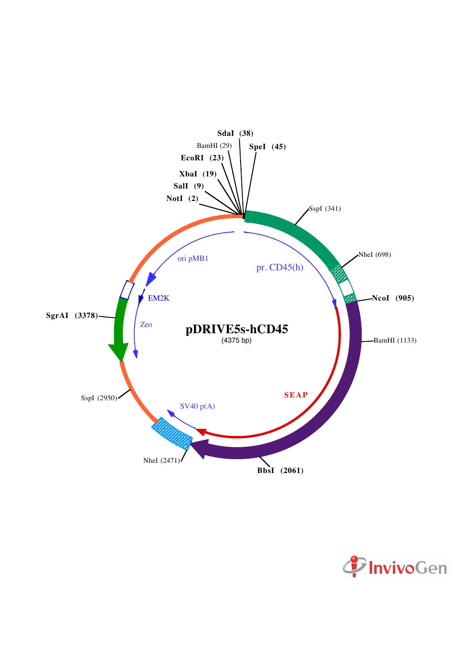

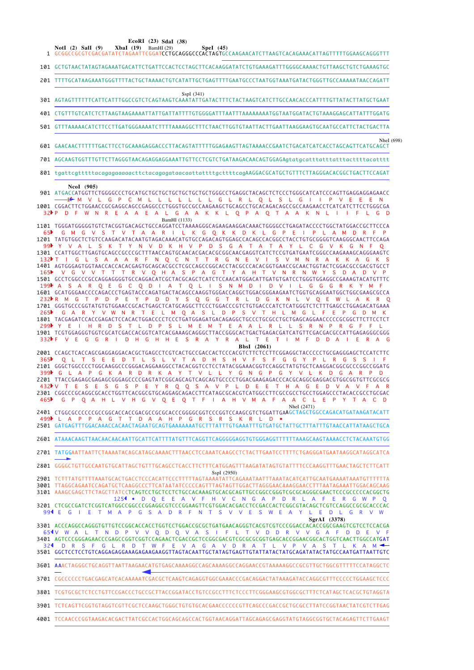EcoRI (23) SdaI (38)

- 101 GCTGTAACTATAGTAGAAATGACATTCTGATTCCACTCCTAGCTTCACAAGGATATCTGTGAAAGATTTGGGGCAAAACTGTTAAGCTGTCTGAAAGTGC
- 201 TITTGCATAAGAAATGGGTTTTACTGCTAAAACTGTCATATTGCTGAGTTTTGAATGCCCTAATGGTAAATGATACTGGGTTGCCAAAAATAACCAGATT
- SspI (341) 301 AGTAGTTTTTTCATTCATTTGCCCGTCTCAGTAAGTCAAATATTGATACTTTCTACTAAGTCATCTTGCCAACACCCATTTTGTTATACTTATGCTGAAT
- 
- 501 GTTTAAAAACATCTTCCTTGATGGGAAAATCTTTTAAAAGGCTTTCTAACTTGGTGTAATTACTTGAATTAAGGAAGTGCAATGCCATTCTACTGACTTA
- Nhel (698) 601 CAACAACTITTITCACTICCTGCAAAGAGGACCCTTACAGTATTITTGGAGAAGTTAGTAAAACCGAATCTGACATCATCACCTAGCAGTTCATGCAGCT
- 701 AGCAAGTGGTTTGTTCTTAGGGTAACAGAGGAGGAAATTGTTCCTCGTCTGATAAGACAACAGTGGAGAqtatgcatttatttatttacttttacatttt
- 801 tagttcatttttacagagagagacttctacagagatgacagttattttacttttcagAAGGACGCATGCTGTTTCTTAGGGACACGCTGACTTCCAGAT

#### NcoI (905)

901 ATGACCATGGTTCTGGGGCCCTGCATGCTGCTGCTGCTGCTGCTGGGCCTGAGGCTACAGCTCTCCCTGGGCATCATCCCAGTTGAGGAGGAGCACCC —1<del>1</del> M V L G P C M L L L L L L L G L R L O L S L G I I P V E E E N 1001 CGARTTTTTCTGAACAGCCAGCCCCTGGTGCCAGAAACATCAGCCTGCAGAACAGCCCCCCAGAACTCATCTTTCTGGCGA 32 P D F W N R E A A E A L G A A K K L Q P A Q T A A K N L I I F L G D BamHI (1133) 1101 TGGGATGGGGTGTCTACGGTGACAGCTGCCAGGATCCTAAAAGGGCAGAAGAAGGACAAACTGGGGCCTGAGATACCCCTGGCTATGGACCGCTTCCCA

D K L  $G$   $P$  $M$  $\mathsf{G}$ <sub>S</sub>  $T$ T.  $\overline{R}$ G O K K E 65 G  $\overline{A}$ D A  $\overline{A}$ M 1201 TATGTGGCTCTGTCCAAGACATACAATGTAGACAAACATGTGCCAGACAGTGGAGCCACAGCCACGGCCTACCTGTGCGGGGTCAAGGGCAACTTCCAGA L S K T Y N V D K H V P D S G A T A T A Y L C G V K G N F  $99$  Y  $V A$ 1301 CCATTGGCTTGAGTGCAGCCGCCCGCTTTAACCAGTGCAACACGCGACACGCGGCAACGAGGTCATCTCCGTGATGAATCGGGCCAAGAAAGCAGGGAAGTC F.  $O$   $C$  $N$  $\mathbf{T}$  $\mathbb{R}$  $\mathsf{G}$  $N$  $\mathbf{v}$  $\mathbf{S}$  $\overline{V}$  $M$  $N$  R  $\Delta$  $\Delta$  $\Delta$  $\overline{R}$  $N$ T. 132) -G  $\Delta$ K  $\Delta$ G 1401 AGTGGGAGTGGTAACCACCACGAGTGCAGCACGCCTCGCCAGCCGGCACCTACGCCCACACGGTGAACCGCAACTGGTACTCGGACGCCGACGTGCCT  $165<sup>h</sup>$ V G V V T T T R V O H A S P A G T Y A H T V N R N W Y S D A  $D$  V 1501 GCCTCGGCCCGCCAGGAGGGGTGCCAGGACATCGCTACGCAGCTCATCTCCAACATGGACATTGATGTGATCCTGGGTGGAGGCCGAAAGTACATGTTTC  $O$  F  $\mathsf{G}$  $\mathcal{C}$  $\Omega$  $\overline{D}$  $0<sub>l</sub>$ S N M  $\overline{D}$  $\mathsf{D}$  $\overline{V}$  $199$  $\overline{R}$ G  $G$ G  $\overline{R}$  $\Delta$  $\Delta$  $\Delta$ п.  $232 \nparallel R$  M G T P D P E Y P D D Y S O G G T R L D G K N L V O E W L  $A$   $K$  $\Omega$ 1701 GGGTGCCCGGTATGTGTGGAACCGCACTGAGCTCATGCAGGCTTCCCTGGACCCGTCTGTGACCCATCTCATGGGTCTCTTTGAGCCTGGAGACATGAAA V W N R  $T$  $S \cup D$   $P$  $S$   $V$   $T$ 265  $R$ F. M Q A  $H - 1$  $M$  $G - 1$ F  $D$  M G  $\overline{A}$ -11 G 1801 TACGAGATCCACCGAGACTCCACACTGGACCCCTCCCTGATGGAGATGACAGAGGCTGCCCTGCCCCCGCCTGCTGAGCAACCCCCGCGGCTTCTTCCTCT 299 Y E I  $H$ R D S T L D P S L M E M T E A A L R L L S R N P R  $G$  F V E G G R I D H G H H E S R A Y R A L T E T I M F D D A I E R A

#### BhsI (2061)

2001 CCAGCTCACCAGCGAGGAGGACACGCTGAGCCTCGTCACTGCCGACCACTCCCACGTCTTCTCCTTCGGAGGCTACCCCCTGCGAGGGAGCTCCATCTTC T A D H S H V F S F 365  $\Omega$ E D  $\mathbf{L}$  $\mathsf{S}$  $\mathsf{L}$  $G$   $G$  $\overline{R}$  $-$  G  $P G$  $V - L$  $399$  G L R D R K A  $\mathbf{v}$ T V L  $G \cap N$   $G \cap P$   $G$  $R$   $R$ 2201 TTACCGAGAGCGAGAGCGGGAGCCCCGAGTATCGGCAGCAGTCAGCAGTGCCCCTGGACGAAGAGACCCACGCAGGCGAGGACGTGGCGGTGTTCGCGCG 432<sup>★</sup> V T E S E S G S P E Y R Q Q S A V P L D E E T H A G E D V A V F G P Q A H L V H G V Q E Q T F I A H V M A F A A C L E P Y T A C D Nhel (2471)

499▶ L A P P A G T T D A A H P G R S R S K R L D . THE THAT THE RESOLUTION OF THE RESOLUTION OF THE RESOLUTION OF THE RESOLUTION OF THE RESOLUTION OF THE RESOLUTION OF THE RESOLUTION OF THE RESOLUTION OF THE RESOLUTION OF

2601 ATAAACAAGTTAACAACAACAATTGCATTCATTTTATGTTTCAGGTTCAGGGGGAGGTTGTGGGAGGTTTTTTAAAGCAAGTAAAACCTCTACAAATGTGG

2701 TATGGAATTAATTCTAAAATACAGCATAGCAAAACTTTAACCTCCAAATCAAGCCTCTACTTGAATCCTTTTCTGAGGGATGAATAAGGCATAGGCATCA

2801 GGGGCTGTTGCCAATGTGCATTAGCTGTTTGCAGCCTCACCTTCTTTCATGGAGTTTAAGATATAGTGTATTTTCCCAAGGTTTGAACTAGCTCTTCATT

SspI (2950) 125<sup>4</sup> • D Q E E A V F H V C N G A P D R L A F E R G W P  $\Omega$ 

3201 CTCGCCGATCTCGGTCATGGCCGGCCCGGAGGCGTCCCGGAAGTTCGTGGACACGACCTCCGACCACTCGGCGTACAGCTCCAGGCCGCGCACCCAC 994 E G I E T M A P G S A D R F N T S V V E S W E A Y L E D L G R V W SgrAI (3378)

3301 ACCCAGGCCAGGGTGTTGTCCGGCACCACCTGGTCCTGGACCGCGCTGATGAACAGGGTCACGTCCCGGACCACCGCGAAGTCGTCCTCCCCGGA<br>651V W A L T N D P V V Q D Q V A S I F L T V D D R V V G A F D D E V F 3401 AGTCCCGGGAGAACCCGAGCCGGTCGGTCCAGAACTCGACCGCTCCGGCGACGTCGCGCGGGGTGAGCACCGGAACGGCACTGGTCAACTTGGCCATGAT  $\mathsf{D}$ **GLRDTWFE** V A G A V D R A  $T$  $\mathbf{L}$  $V$   $P$  $V \Delta$  $\mathcal{S}$  $\mathbf{L}$ 324  $T$ 3501 GGCTCCTCCTGTCAGGAGAGAGAAGAGAAGAGGTTAGTACAATTGCTATAGTGAGTTGTATTATACTATGCAGATATACTATGCCAATGATTAATTGTC

3601 AAACTAGGGCTGCAGGTTAATTAAGAACATGTGAGCAAAAGGCCAGGAAAAGGCCAGGAACCGTAAAAAGGCCGCGTTGCTGGCGTTTTTCCATAGGCTC

3701 CGCCCCCCTGACGAGCATCACAAAAATCGACGCTCAAGTCAGAGGTGGCGAAACCCGACAGGACTATAAAGATACCAGGCGTTTCCCCCTGGAAGCTCC

3801 TCGTGCGCTCTCCTGTTCCGACCCTGCCGCTTACCGGATACCTGTCCGCCTTTCTCCCTTTCGGGAAGCGTGGCGCTTTCTCATAGCTCACGCTGTAGGTA

3901 TCTCAGTTCGGTGTAGGTCGTTCGCTCCAAGCTGGGCTGTGTGCACGAACCCCCCGTTCAGCCCGACCGCTGCGCCTTATCCGGTAACTATCGTCTTGAG

4001 TCCAACCCGGTAAGACACGACTTATCGCCACTGGCAGCAGCCACTGGTAACAGGATTAGCAGAGGTATGTAGGCGGTGCTACAGAGTTCTTGAAGT